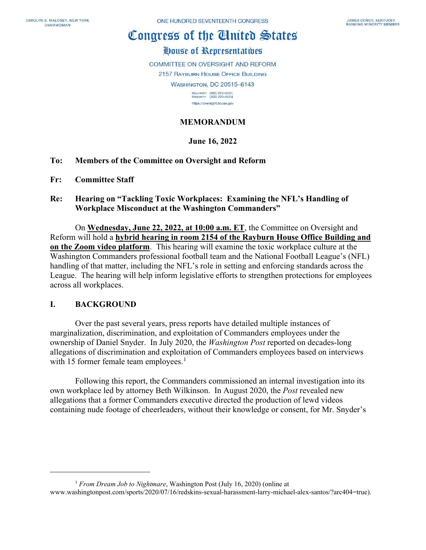# Congress of the Cinited States

# House of Representatives

COMMITTEE ON OVERSIGHT AND REFORM **2157 RAYBURN HOUSE OFFICE BUILDING WASHINGTON, DC 20515-6143** MAJORITY (202) 225-5051<br>MINORITY (202) 225-5074

https://oversight.house.gov

# **MEMORANDUM**

## **June 16, 2022**

## **To: Members of the Committee on Oversight and Reform**

- **Fr: Committee Staff**
- **Re: Hearing on "Tackling Toxic Workplaces: Examining the NFL's Handling of Workplace Misconduct at the Washington Commanders"**

On **Wednesday, June 22, 2022, at 10:00 a.m. ET**, the Committee on Oversight and Reform will hold a **hybrid hearing in room 2154 of the Rayburn House Office Building and on the Zoom video platform**. This hearing will examine the toxic workplace culture at the Washington Commanders professional football team and the National Football League's (NFL) handling of that matter, including the NFL's role in setting and enforcing standards across the League. The hearing will help inform legislative efforts to strengthen protections for employees across all workplaces.

## **I. BACKGROUND**

Over the past several years, press reports have detailed multiple instances of marginalization, discrimination, and exploitation of Commanders employees under the ownership of Daniel Snyder. In July 2020, the *Washington Post* reported on decades-long allegations of discrimination and exploitation of Commanders employees based on interviews with [1](#page-0-0)5 former female team employees. $<sup>1</sup>$ </sup>

Following this report, the Commanders commissioned an internal investigation into its own workplace led by attorney Beth Wilkinson. In August 2020, the *Post* revealed new allegations that a former Commanders executive directed the production of lewd videos containing nude footage of cheerleaders, without their knowledge or consent, for Mr. Snyder's

<span id="page-0-0"></span><sup>&</sup>lt;sup>1</sup> *From Dream Job to Nightmare*, Washington Post (July 16, 2020) (online at www.washingtonpost.com/sports/2020/07/16/redskins-sexual-harassment-larry-michael-alex-santos/?arc404=true).